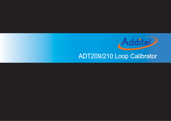

# ADT209/210 Loop Calibrator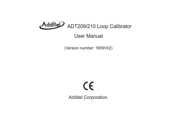

# User Manual

(Version number: 1609V02)

# $C\epsilon$

Additel Corporation.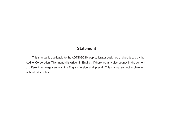# **Statement**

This manual is applicable to the ADT209/210 loop calibrator designed and produced by the Additel Corporation. This manual is written in English. If there are any discrepancy in the content of different language versions, the English version shall prevail. This manual subject to change without prior notice.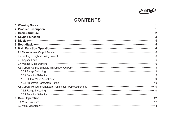

# CONTENTS

| 7. Main Function Operation <b>CONSTRAINER IN A SET A SET A SET A</b> SERIES STATE THE SERIES STATE STATE STATE STATE S                                                                                                                   |
|------------------------------------------------------------------------------------------------------------------------------------------------------------------------------------------------------------------------------------------|
|                                                                                                                                                                                                                                          |
|                                                                                                                                                                                                                                          |
|                                                                                                                                                                                                                                          |
|                                                                                                                                                                                                                                          |
|                                                                                                                                                                                                                                          |
|                                                                                                                                                                                                                                          |
| 7.5.2 Function Selection <b>Construction</b> Selection <b>Construction</b> Selection Construction Construction Construction Construction Construction Construction Construction Construction Construction Construction Construction Cons |
|                                                                                                                                                                                                                                          |
|                                                                                                                                                                                                                                          |
|                                                                                                                                                                                                                                          |
|                                                                                                                                                                                                                                          |
|                                                                                                                                                                                                                                          |
|                                                                                                                                                                                                                                          |
|                                                                                                                                                                                                                                          |
|                                                                                                                                                                                                                                          |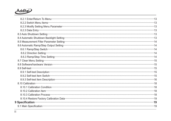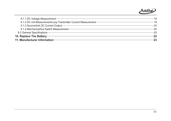# Addite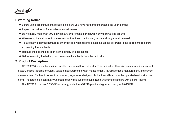

#### **I. Warning Notice**

- ◆ Before using this instrument, please make sure you have read and understand the user manual.
- ◆ Inspect the calibrator for any damages before use.
- ◆ Do not apply more than 30V between any two terminals or between any terminal and ground.
- ◆ When using the calibrator to measure or output the correct wiring, mode and range must be used.
- ◆ To avoid any potential damage to other devices when testing, please adjust the calibrator to the correct mode before connecting the test leads.
- ◆ Replace the batteries as soon as the battery symbol flashes.
- ◆ Before removing the battery door, remove all test leads from the calibrator.

#### 2. Product Description

ADT209/210 is a multi-function, durable, hand-held loop calibrator. This calibrator offers six primary functions: current output, analog transmitter output, voltage measurement, switch measurement, transmitter loop measurement, and current measurement. Each unit comes in a compact, ergonomic design such that the calibrator can be operated easily with one hand. The large, high contrast VA screen clearly displays the results. Each unit comes standard with an IP54 rating.

The ADT209 provides 0.03%RD accuracy, while the ADT210 provides higher accuracy as 0.01%RD.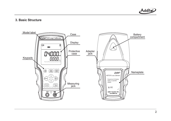

#### **3. Basic Structure**

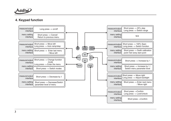

# **4. Keypad function**

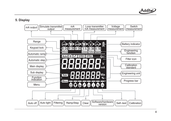

#### **5. Display**

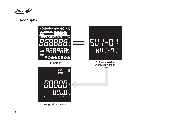

# **6. Boot display**

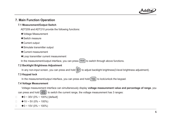

## **7. Main Function Operation**

#### **7.1 Measurement/Output Switch**

ADT209 and ADT210 provide the following functions:

- ◆Voltage Measurement
- ◆Switch measure
- ◆ Current output
- ◆ Simulate transmitter output
- ◆Current measurement
- ◆Loop transmitter current measurement

In the measurement/output interface, you can press [ <sup>Mode</sup> ] to switch through above functions.

#### **7.2 Backlight Brightness Adjustment**

In any non-input screen, you can press and hold  $\langle \breve{\psi} \rangle$  to adjust backlight brightness(3-level brightness adjustment).

#### **7.3 Keypad lock**

In the measurement/output interface, you can press and hold  $\mid$  <code>Hold,</code>  $\mid$  to lock/unlock the keypad.

#### **7.4 Voltage Measurement**

Voltage measurement interface can simultaneously display **voltage measurement value and percentage of range**, you

can press and hold  $\left(\frac{25\%}{\text{Range}}\right)$  to switch the current range, the voltage measurement has 3 ranges:

- $\Box$  $\triangleq 0$  ~ 30V (0% ~ 100%) [default]
- $\Box$  $*1V \sim 5V (0\% \sim 100\%)$
- $\Box$  $\triangleq$  0 ~ 10V (0% ~ 100%)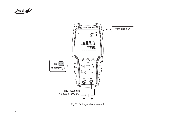



Fig 7.1 Voltage Measurement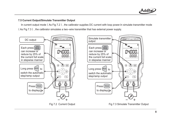

#### **7.5 Current Output/Simulate Transmitter Output**

In current output mode (As Fig 7.2), the calibrator supplies DC current with loop power.In simulate transmitter mode ( As Fig 7.3), the calibrator simulates a two-wire transmitter that has external power supply.

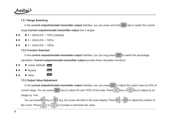

#### **7.5.1 Range Switching**

In the **current output/simulate transmitter output** interface, you can press and hold  $\left(\frac{25\%}{\text{Range}}\right)$  key to switch the current range. **Current output/simulate transmitter output** has 3 ranges:

- --◆  $4 \sim 20$ mA (0% ~ 100%) [default]
- -- $\triangleq 0$  ~ 20mA (0% ~ 100%)
- -- $\triangleq 0 \sim 24$ mA (0% ~ 100%)

#### **7.5.2 Function Selection**

In the **current output/simulate transmitter output** interface, you can long press $\left(\frac{100\%}{\text{Math}}\right)$ to switch the percentage calculation. Current output/simulate transmitter output provides three calculation functions:

- --◆ Linear, [default] Linear
- ◆ Square Square --
- --◆ Valve

#### **7.5.3 Output Value Adjustment**

**Valve** 

In the **current output/simulate transmitter output** interface, you can press $\frac{25\%}{\text{Range}}$  to adjust the output value by 25% of current range. You can press  $[\frac{100\%}{\sf Math}]$  key to output 0% and 100% of full scale. Press $(\texttt{\;=}\,)$ key or $(\texttt{\;=}\,)$ key to adjust by an integer by 1mA.

You can press<sup>((Auto</sup>l key or  $| \mathbb{Q}$  ) key, the cursor will blink in the main display. Press (भाषा or  $| \mathbb{Q}$  ) to adjust the position of the cursor. Press  $\frown$   $\frown$  or  $\frown$   $\grown$  to increase or decrease the value.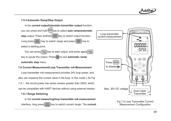

#### **7.5.4 Automatic Ramp/Step Output**

In the current output/simulate transmitter output function, you can press and hold <sup>((Auto</sup>|key to select **auto ramp/automatic step** output. Press andhold $\left(\frac{100\%}{\mathsf{Math}}\right)$ key to switch output function. Long press $\left(\frac{25\%}{\text{Range}}\right)$  key to switch range and press  $\left(\frac{100\%}{\text{Math}}\right)$  key to select a starting point. <u>25%</u><br>Range

You can press∫ нѹа, |key to start output, and press again( н<u>ѹ</u> key to pause the output. Press ( $\Phi$ ) to exit **automatic ramp/ automatic step** menu.

#### **7.6 Current Measurement/Loop Transmitter mA Measurement**

Loop transmitter mA measurement provides 24V loop power, and also can measure the current value in the loop. In this mode (As Fig 7.4), the circuit power has series resistor greater than  $250\Omega$ , which can be compatible with HART devices without using external resistor.

#### **7.6.1 Range Switching**

In the **current measuring/loop transmitter mA measurement** interface, long press $[\frac{25\%}{\mathsf{Range}}]$ key to switch current range. The  $\textsf{current}$ 



Fig 7.4 Loop Transmitter Current Measurement Configuration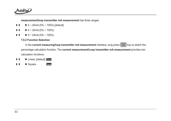

**measurement/loop transmitter mA measurement** has three ranges:

- --◆  $4 \sim 20$ mA (0% ~ 100%) [default]
- -- $\triangleq 0$  ~ 20mA (0% ~ 100%)
- -- $\triangleq 0$  ~ 24mA (0% ~ 100%)

#### **7.6.2 Function Selection**

In the **current measuring/loop transmitter mA measurement** interface, long press  $\left(\frac{100\%}{\text{Math}}\right)$  key to switch the percentage calculation function. The current measurement/Loop transmitter mA measurement provides two calculation functions:

- --◆ Linear, [default] Linear
- ◆ Square **Square** --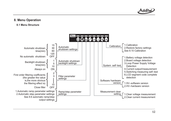

#### **8. Menu Operation**

#### **8.1 Menu Structure**

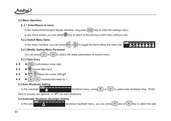

#### **8.2 Menu Operation**

#### **8. 2.1 Enter/Return to menu**

In the measurement/output display interface, long press [ <sup>Mode</sup> ] key to enter the settings menu.

In any menu button, you can press  $(\mathcal{D})$  key to return to the previous short menu until you exit.

#### **8.2.2 Switch Menu Items**

In the menu interface, you can press $(^\mathtt{Auto}|\mathop{\mathrm{or}}\nolimits|\mathop{\mathrm{Q}}\nolimits\ast)$  to toggle the items along the menu bar:

#### Menu D めの

#### **8.2.3 Modify Setting Menu Parameter**

You can press  $\Rightarrow$  or  $\Rightarrow$  to switch the setup parameters of current menu.

#### **8.2.3 Data Entry**



- --Cancel data input
- Auto-- $\hat{V}$ ) Move the cursor left/right
	- Increase/decrease by 1

#### **8.3 Auto Shutdown Setting**

In the automatic  $\frac{\text{Mean of area}}{\text{A}}$  shutdown menu, press  $\Rightarrow$  or  $\Rightarrow$  to select auto shutdown time, 15/30/

60/120 minutes are optional, or OFF (no auto shutdown).

#### **8.4 Automatic Shutdown Backlight Setting**

 $M$ enu $\overline{a}$  and  $\overline{a}$  and  $\overline{a}$  and  $\overline{a}$ In the auto  $\Box$ 

--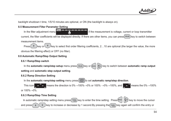

backlight shutdown t time, 1/5/10 minutes are optional, or ON (the backlight is always on).

#### **8.5 Measurement Filter Parameter Setting**

Menu D In the filter adjustment menu  $\frac{1}{\sqrt{2}}$  is the measurement is voltage, current or loop transmitter current, the filter coefficients will be displayed directly. If there are other items, you can press $\mid$  Mode  $\mid$  key to switch between measurement items.

Press  $\binom{1}{x}$  key or  $\binom{1}{x}$  key to select first order filtering coefficients, 2...10 are optional (the larger the value, the more obvious the filtering effect) or OFF (no filter).

#### **8.6 Automatic Ramp/Step Output Setting**

#### **8.6.1 Ramp/Step switch**

In the **automatic ramp/step setup** menu press| Mode |key or (4Auto| |ζঁ) ) key to switch between **automatic ramp output setting and automatic step output setting.** 

#### **8.6.2 Ramp Direction Setting**

In the **automatic ramp/step setting** menu press $\left(\frac{100\%}{\text{Math}}\right)$ to set **automatic ramp/step direction**.

This icon  $\blacksquare$   $\blacksquare$   $\blacksquare$  means the direction is 0%  $\rightarrow$ 100% →0% or 100% →0% →100%, and  $\blacksquare$   $\blacksquare$  means the 0% →100% or  $100\% \rightarrow 0\%$ .

#### **8.6.3 Ramp/Step Time Setting**

In automatic ramp/step setting menu press $\mid$  Hold,  $\mid$  key to enter the time setting.  $\mid$  Press $($ tauto $\mid\mid$   $\mathbb{Q}$   $\rangle$  key to move the cursor and press key to increase or decrease by 1 second.By pressing the key again will confirm the entry or Hold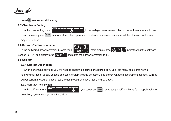

 $pres(\theta)$  key to cancel the entry.

#### **8.7 Clear Menu Setting**

Menu **Dengton** In the clear setting menu  $\frac{1}{\sqrt{c_{LR}}}$  , in the voltage measurement clear or current measurement clear menu, you can press ال<sup>طوا</sup> ) key to preform clear operation, the cleared measurement value will be observed in the main display interface.

#### **8.8 Software/hardware Version**

In the software/hardware version browse menu  $\begin{bmatrix} 1 & 1 \\ 1 & 1 \end{bmatrix}$ , main display area  $\begin{bmatrix} 1 & 1 \\ 1 & 1 \end{bmatrix}$  indicates that the software version is 1-01, sub display area  $\frac{1}{2}$  indicates the hardware version is 1-01.

#### **8.9 Self-test**

#### **8.9.1 Self-test Description**

When performing self-test, you will need to short the electrical measuring port. Self Test menu item contains the following self-tests: supply voltage detection, system voltage detection, loop power/voltage measurement self-test, current output/current measurement self-test, switch measurement self-test, and LCD test.

#### **8.9.2 Self-test Item Switch**



detection, system voltage detection, etc.).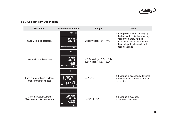

## **8.9.3 Self-test Item Description**

| <b>Test Item</b>                                           | <b>Interface Schematic</b>              | <b>Range</b>                                                  | <b>Notes</b>                                                                                                                                                                                            |
|------------------------------------------------------------|-----------------------------------------|---------------------------------------------------------------|---------------------------------------------------------------------------------------------------------------------------------------------------------------------------------------------------------|
| Supply voltage detection                                   | $\circledcirc$<br>间<br>85'<br>$\bullet$ | Supply voltage: $6V \sim 10V$                                 | a. If the power is supplied only by<br>the battery, the displayed voltage<br>will be the battery voltage<br>b. If you insert the power adapter,<br>the displayed voltage will be the<br>adapter voltage |
| <b>System Power Detection</b>                              | $\circledcirc$<br>ףכב<br>488            | a.3.3V Voltage: 3.2V ~ 3.4V<br>b.5V Voltage: $4.8V \sim 5.2V$ |                                                                                                                                                                                                         |
| Loop supply voltage /voltage<br>measurement self-test      | $\mathbb{Q}^\bullet$<br>224 IN          | 22V~25V                                                       | If the range is exceeded additional<br>troubleshooting or calibration may<br>be required.                                                                                                               |
| <b>Current Output/Current</b><br>Measurement Self test-4mA | $\widehat{\mathbb{R}}$<br>(m)           | $3.9mA - 4.1mA$                                               | If the range is exceeded<br>calibration is required.                                                                                                                                                    |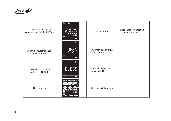

| <b>Current Output/Current</b><br>Measurement Self test -20mA | $\widehat{\mathbb{M}}$<br>$\bigoplus$<br>Menu<br>Q | 19.9mA~20.1 mA                          | If the range is exceeded<br>calibration is required. |
|--------------------------------------------------------------|----------------------------------------------------|-----------------------------------------|------------------------------------------------------|
| Switch measurement self-<br>test - OPEN                      | $\odot$                                            | The main display area<br>displays OPEN  |                                                      |
| Switch measurement<br>self-test - CLOSE                      | $\bigodot\!\!\!\blacktriangleleft$<br>CLOSE<br>Q)  | The main display area<br>displays CLOSE |                                                      |
| <b>LCD Detection</b>                                         |                                                    | All pixels will illuminate              |                                                      |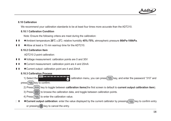

#### **8.10 Calibration**

We recommend your calibration standards to be at least four times more accurate than the ADT210.

#### **8.10.1 Calibration Condition**

Note: Ensure the following critera are meet during the calibration:

- -◆Ambient temperature 20<sup>°</sup>C ± 2<sup>°</sup>C; relative humidity 45%-75%; atmospheric pressure 86kPa-106kPa.
- -◆Allow at least a 15 min warmup time for the ADT210.

#### **8.10.2 Calibration Item**

ADT210 2-point calibration:

- -◆Voltage measurement: calibration points are 0 and 30V
- -◆Current measurement: calibration point are 4 and 20mA
- -◆ Current output: calibration point are 4 and 20mA

#### **8.10.3 Calibration Process**

- 1) Select the calibration menu, you can press Hold J key, and enter the password "310" and
- press $\left(\begin{array}{c}\right. \texttt{Hold}\end{array}\right]$ key to confirm.
	- 2) Press [ Mode ] key to toggle between **calibration items**(the first screen is default to **current output calibration item**).
		- to browse the calibration data, and toggle between calibration points. 100% Math
	- 4) Press ( Hold, ) to enter the calibration value.
- -**■ ◆ Current output calibration**: enter the value displayed by the current calibrator by pressing Hold, key to confirm entry or pressing  $(\Phi)$  key to cancel the entry.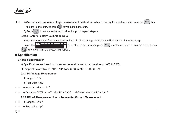

- ◆ Current measurement/voltage measurement calibration: When sourcing the standard value press the  $\lfloor \frac{Hold}{H} \rfloor$  key n n to confirm the entry or press  $(\theta)$  key to cancel the entry.
	- 5) Press $\left(\frac{100\%}{\mathsf{Math}}\right)$  to switch to the next calibration point, repeat step 4).
	- **8.10.4 Restore Factory Calibration Data**
		- **Note:** when restoring factory calibration data, all other settings parameters will be reset to factory settings.

Select the **calibration of the calibration** menu, you can press <sup>Hold</sup> to enter, and enter password "310". Press Hold key to confirm, the system will reboot.

## **9 Specification**

#### **9.1 Main Specification**

- ◆Specifications are based on 1 year and an environmental temperature of 10°C to 30°C .
- ◆Temperature coefficient: -10°C~10°C and 30°C~50°C: ±0.005%FS/°C

#### **9.1.1 DC Voltage Measurement**

- ◆Range:0~30V
- ◆Resolution:1mV
- $\Box$  $\blacksquare$   $\blacklozenge$  Input impedance: 1MΩ
- -■ ◆ Accuracy:ADT209:  $\pm$ (0. 03%RD + 2mV) ADT210:  $\pm$ (0.01%RD + 2mV)

#### **9.1.2 DC mA Measurement /Loop Transmitter Current Measurement**

- $\Box$  $\blacksquare$   $\blacklozenge$  Range:0~24mA
- - $\blacksquare$   $\blacklozenge$  Resolution: 1µA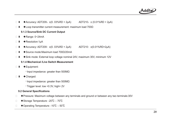

- -**Accuracy: ADT209:**  $\pm (0.03\%RD + 2\mu A)$  ADT210:  $\pm (0.01\%RD + 2\mu A)$
- $\Box$  $\blacksquare$   $\blacklozenge$  Loop transmitter current measurement: maximum load 700Ω

#### **9.1.3 Source/Sink DC Current Output**

- - $\blacksquare$   $\blacklozenge$  Range: 0~24mA
- - $\blacksquare$   $\blacklozenge$  Resolution:1µA
- - $\blacksquare$  ◆ Accuracy: ADT209:  $\pm$ (0. 03%RD + 2μA)  $\thickspace$  ADT210:  $\pm$ (0.01%RD+2μA)
- $\Box$ ■ ◆ Source mode:Maximum load 700Ω/20mA
- $\Box$ ■ ◆ Sink mode: External loop voltage nominal 24V, maximum 30V, minimum 12V
	- **9.1.4 Mechanical /Live Switch Measurement**
- $\Box$  $\blacksquare$   $\blacklozenge$  Equipment:
	- \* Input impedance: greater than 500MΩ
- -■ ◆ Charged:
	- \* Input impedance: greater than 500MΩ
	- \* Trigger level: low <0.3V, high> 2V

#### **9.2 General Specifications**

- $\Box$ Pressure: Maximum voltage between any terminals and ground or between any two terminals:30V ◆
- $\Box$ ◆ Storage Temperature: -20 °C ~ 70 °C
- $\Box$ ◆ Operating Temperature: -10℃ ~ 50℃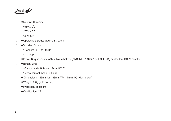

- $\Box$ ◆ Relative Humidity:
	- \* 95%/30℃
	- \* 75%/40℃
	- \* 45%/50℃
- $\Box$ ◆ Operating altitude: Maximum 3000m
- $\Box$ ◆ Vibration Shock:
	- \* Random 2g, 5 to 500Hz
	- \* 1m drop
- $\Box$ Power Requirements: A 9V alkaline battery (ANSI/NEDA 1604A or IEC6LR61) or standard DC9V adapter ◆
- $\Box$ ◆ Battery Life:
	- \* Output mode:18 hours(12mA /500Ω)
	- \* Measurement mode:50 hours
	- ◆Dimensions: 163mm(L) × 83mm(W) × 41mm(H) (with holster)
- $\Box$ ◆Weight: 350g (with holster)
- $\Box$ ◆ Protection class: IP54
- $\Box$ ◆ Certification: CE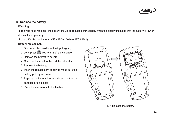

#### **10. Replace the battery**

#### **Warming:**

◆To avoid false readings, the battery should be replaced immediately when the display indicates that the battery is low or does not start properly

◆Use a 9V alkaline battery (ANSI/NEDA 1604A or IEC6LR61)

#### **Battery replacement:**

- 1) Disconnect test lead from the input signal;
- 2) Long press  $(\mathbb{U})$  key to turn off the calibrator
- 3) Remove the protective cover;
- 4) Open the battery door behind the calibrator;
- 5) Remove the battery;
- 6) Insert the replacement battery to make sure the battery polarity is correct;
- 7) Replace the battery door and determine that the batteries are in place;
- 8) Place the calibrator into the leather.



10.1 Replace the battery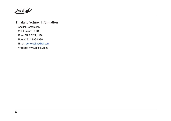

#### **11. Manufacturer Information**

Additel Corporation 2900 Saturn St #BBrea, CA 92821, USA Phone: 714-998-6899Email: <u>service@additel.com</u> Website: www.additel.com